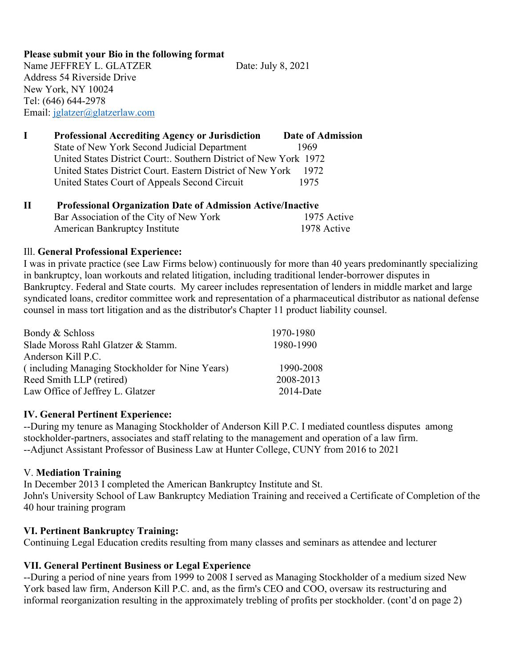**Please submit your Bio in the following format**  Name JEFFREY L. GLATZER Date: July 8, 2021 Address 54 Riverside Drive New York, NY 10024 Tel: (646) 644-2978 Email: [jglatzer@glatzerlaw.com](mailto:jglatzer@glatzerlaw.com)

**I Professional Accrediting Agency or Jurisdiction Date of Admission** State of New York Second Judicial Department 1969 United States District Court:. Southern District of New York 1972 United States District Court. Eastern District of New York 1972 United States Court of Appeals Second Circuit 1975

## **II Professional Organization Date of Admission Active/Inactive**  Bar Association of the City of New York 1975 Active American Bankruptcy Institute 1978 Active

## Ill. **General Professional Experience:**

I was in private practice (see Law Firms below) continuously for more than 40 years predominantly specializing in bankruptcy, loan workouts and related litigation, including traditional lender-borrower disputes in Bankruptcy. Federal and State courts. My career includes representation of lenders in middle market and large syndicated loans, creditor committee work and representation of a pharmaceutical distributor as national defense counsel in mass tort litigation and as the distributor's Chapter 11 product liability counsel.

| Bondy & Schloss                                 | 1970-1980    |
|-------------------------------------------------|--------------|
| Slade Moross Rahl Glatzer & Stamm.              | 1980-1990    |
| Anderson Kill P.C.                              |              |
| (including Managing Stockholder for Nine Years) | 1990-2008    |
| Reed Smith LLP (retired)                        | 2008-2013    |
| Law Office of Jeffrey L. Glatzer                | $2014$ -Date |

#### **IV. General Pertinent Experience:**

--During my tenure as Managing Stockholder of Anderson Kill P.C. I mediated countless disputes among stockholder-partners, associates and staff relating to the management and operation of a law firm. --Adjunct Assistant Professor of Business Law at Hunter College, CUNY from 2016 to 2021

#### V. **Mediation Training**

In December 2013 I completed the American Bankruptcy Institute and St. John's University School of Law Bankruptcy Mediation Training and received a Certificate of Completion of the 40 hour training program

# **VI. Pertinent Bankruptcy Training:**

Continuing Legal Education credits resulting from many classes and seminars as attendee and lecturer

# **VII. General Pertinent Business or Legal Experience**

--During a period of nine years from 1999 to 2008 I served as Managing Stockholder of a medium sized New York based law firm, Anderson Kill P.C. and, as the firm's CEO and COO, oversaw its restructuring and informal reorganization resulting in the approximately trebling of profits per stockholder. (cont'd on page 2)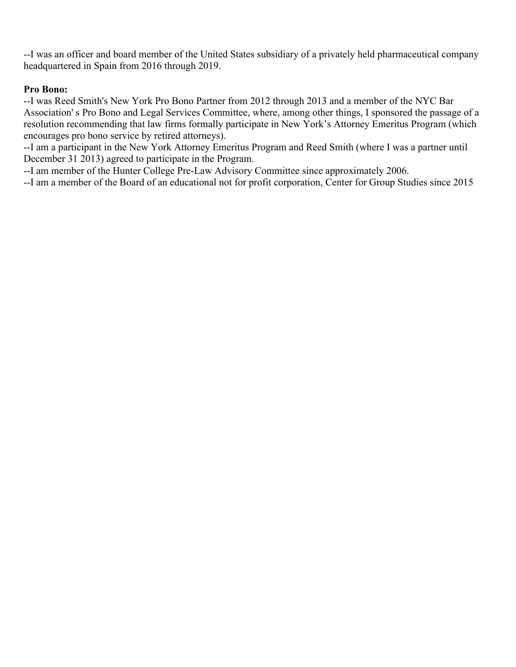--I was an officer and board member of the United States subsidiary of a privately held pharmaceutical company headquartered in Spain from 2016 through 2019.

# **Pro Bono:**

--I was Reed Smith's New York Pro Bono Partner from 2012 through 2013 and a member of the NYC Bar Association' s Pro Bono and Legal Services Committee, where, among other things, I sponsored the passage of a resolution recommending that law firms formally participate in New York's Attorney Emeritus Program (which encourages pro bono service by retired attorneys).

--I am a participant in the New York Attorney Emeritus Program and Reed Smith (where I was a partner until December 31 2013) agreed to participate in the Program.

--I am member of the Hunter College Pre-Law Advisory Committee since approximately 2006.

--I am a member of the Board of an educational not for profit corporation, Center for Group Studies since 2015